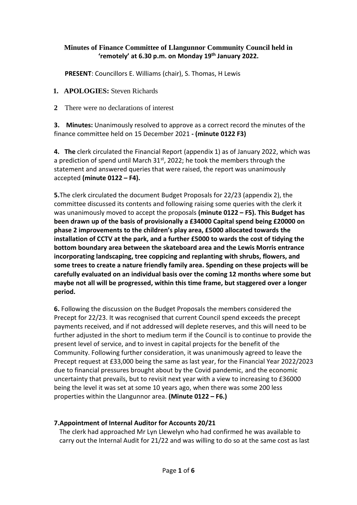## **Minutes of Finance Committee of Llangunnor Community Council held in 'remotely' at 6.30 p.m. on Monday 19th January 2022.**

**PRESENT**: Councillors E. Williams (chair), S. Thomas, H Lewis

- **1. APOLOGIES:** Steven Richards
- **2** There were no declarations of interest

**3. Minutes:** Unanimously resolved to approve as a correct record the minutes of the finance committee held on 15 December 2021 **- (minute 0122 F3)**

**4. The** clerk circulated the Financial Report (appendix 1) as of January 2022, which was a prediction of spend until March  $31<sup>st</sup>$ , 2022; he took the members through the statement and answered queries that were raised, the report was unanimously accepted **(minute 0122 – F4).**

**5.**The clerk circulated the document Budget Proposals for 22/23 (appendix 2), the committee discussed its contents and following raising some queries with the clerk it was unanimously moved to accept the proposals **(minute 0122 – F5). This Budget has been drawn up of the basis of provisionally a £34000 Capital spend being £20000 on phase 2 improvements to the children's play area, £5000 allocated towards the installation of CCTV at the park, and a further £5000 to wards the cost of tidying the bottom boundary area between the skateboard area and the Lewis Morris entrance incorporating landscaping, tree coppicing and replanting with shrubs, flowers, and some trees to create a nature friendly family area. Spending on these projects will be carefully evaluated on an individual basis over the coming 12 months where some but maybe not all will be progressed, within this time frame, but staggered over a longer period.**

**6.** Following the discussion on the Budget Proposals the members considered the Precept for 22/23. It was recognised that current Council spend exceeds the precept payments received, and if not addressed will deplete reserves, and this will need to be further adjusted in the short to medium term if the Council is to continue to provide the present level of service, and to invest in capital projects for the benefit of the Community. Following further consideration, it was unanimously agreed to leave the Precept request at £33,000 being the same as last year, for the Financial Year 2022/2023 due to financial pressures brought about by the Covid pandemic, and the economic uncertainty that prevails, but to revisit next year with a view to increasing to £36000 being the level it was set at some 10 years ago, when there was some 200 less properties within the Llangunnor area. **(Minute 0122 – F6.)**

## **7.Appointment of Internal Auditor for Accounts 20/21**

The clerk had approached Mr Lyn Llewelyn who had confirmed he was available to carry out the Internal Audit for 21/22 and was willing to do so at the same cost as last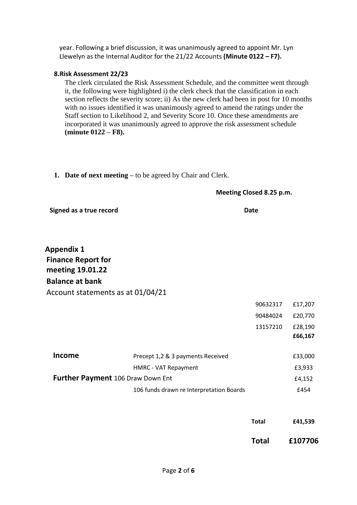year. Following a brief discussion, it was unanimously agreed to appoint Mr. Lyn Llewelyn as the Internal Auditor for the 21/22 Accounts **(Minute 0122 – F7).**

## **8.Risk Assessment 22/23**

The clerk circulated the Risk Assessment Schedule, and the committee went through it, the following were highlighted i) the clerk check that the classification in each section reflects the severity score; ii) As the new clerk had been in post for 10 months with no issues identified it was unanimously agreed to amend the ratings under the Staff section to Likelihood 2, and Severity Score 10. Once these amendments are incorporated it was unanimously agreed to approve the risk assessment schedule **(minute 0122 – F8).**

**1. Date of next meeting –** to be agreed by Chair and Clerk.

| Meeting Closed 8.25 p.m. |  |
|--------------------------|--|
|--------------------------|--|

**Signed as a true record Date 2008 CONTEX CONTEX CONTEX CONTEX CONTEXT DATE DATE** 

**Appendix 1 Finance Report for meeting 19.01.22 Balance at bank** Account statements as at 01/04/21

|                                          |                                          | 90632317 | £17,207 |
|------------------------------------------|------------------------------------------|----------|---------|
|                                          |                                          | 90484024 | £20,770 |
|                                          |                                          | 13157210 | £28,190 |
|                                          |                                          |          | £66,167 |
|                                          |                                          |          |         |
| Income                                   | Precept 1,2 & 3 payments Received        |          | £33,000 |
|                                          | HMRC - VAT Repayment                     |          | £3,933  |
| <b>Further Payment</b> 106 Draw Down Ent |                                          | £4,152   |         |
|                                          | 106 funds drawn re Interpretation Boards |          | £454    |
|                                          |                                          |          |         |

| Total | £41,539 |
|-------|---------|
|       |         |

**Total £107706**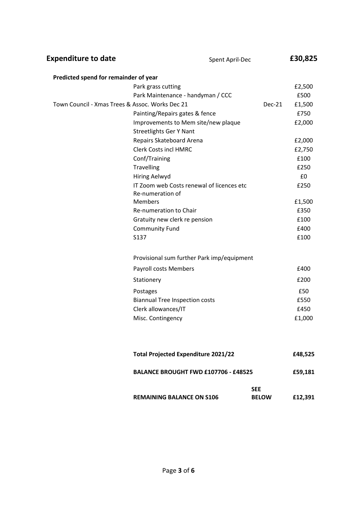| <b>Expenditure to date</b>                      | Spent April-Dec                                               |                            | £30,825 |
|-------------------------------------------------|---------------------------------------------------------------|----------------------------|---------|
| Predicted spend for remainder of year           |                                                               |                            |         |
|                                                 | Park grass cutting                                            |                            | £2,500  |
|                                                 | Park Maintenance - handyman / CCC                             |                            | £500    |
| Town Council - Xmas Trees & Assoc. Works Dec 21 |                                                               | $Dec-21$                   | £1,500  |
|                                                 | Painting/Repairs gates & fence                                |                            | £750    |
|                                                 | Improvements to Mem site/new plaque                           |                            | £2,000  |
|                                                 | <b>Streetlights Ger Y Nant</b>                                |                            |         |
|                                                 | Repairs Skateboard Arena                                      |                            | £2,000  |
|                                                 | <b>Clerk Costs incl HMRC</b>                                  |                            | £2,750  |
|                                                 | Conf/Training                                                 |                            | £100    |
|                                                 | <b>Travelling</b>                                             |                            | £250    |
|                                                 | <b>Hiring Aelwyd</b>                                          |                            | £0      |
|                                                 | IT Zoom web Costs renewal of licences etc<br>Re-numeration of |                            | £250    |
|                                                 | <b>Members</b>                                                |                            | £1,500  |
|                                                 | Re-numeration to Chair                                        |                            | £350    |
|                                                 | Gratuity new clerk re pension                                 |                            | £100    |
|                                                 | <b>Community Fund</b>                                         |                            | £400    |
|                                                 | S137                                                          |                            | £100    |
|                                                 | Provisional sum further Park imp/equipment                    |                            |         |
|                                                 | Payroll costs Members                                         |                            | £400    |
|                                                 | Stationery                                                    |                            | £200    |
|                                                 | Postages                                                      |                            | £50     |
|                                                 | <b>Biannual Tree Inspection costs</b>                         |                            | £550    |
|                                                 | Clerk allowances/IT                                           |                            | £450    |
|                                                 | Misc. Contingency                                             |                            | £1,000  |
|                                                 |                                                               |                            |         |
|                                                 | <b>Total Projected Expenditure 2021/22</b>                    |                            | £48,525 |
|                                                 | <b>BALANCE BROUGHT FWD £107706 - £48525</b>                   |                            | £59,181 |
|                                                 | <b>REMAINING BALANCE ON S106</b>                              | <b>SEE</b><br><b>BELOW</b> | £12,391 |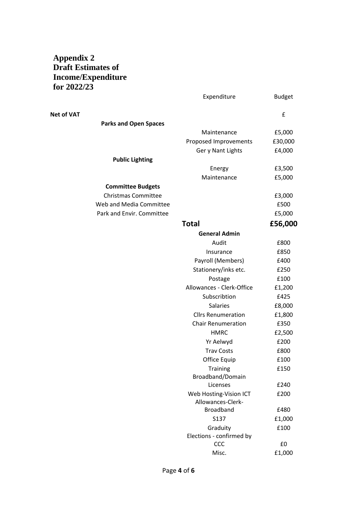## **Appendix 2 Draft Estimates of Income/Expenditure for 2022/23**

|                              | Expenditure                          | <b>Budget</b> |
|------------------------------|--------------------------------------|---------------|
| <b>Net of VAT</b>            |                                      | £             |
| <b>Parks and Open Spaces</b> |                                      |               |
|                              | Maintenance                          | £5,000        |
|                              | Proposed Improvements                | £30,000       |
|                              | Ger y Nant Lights                    | £4,000        |
| <b>Public Lighting</b>       |                                      |               |
|                              | Energy                               | £3,500        |
|                              | Maintenance                          | £5,000        |
| <b>Committee Budgets</b>     |                                      |               |
| <b>Christmas Committee</b>   |                                      | £3,000        |
| Web and Media Committee      |                                      | £500          |
| Park and Envir. Committee    |                                      | £5,000        |
|                              | <b>Total</b>                         | £56,000       |
|                              | <b>General Admin</b>                 |               |
|                              | Audit                                | £800          |
|                              | Insurance                            | £850          |
|                              | Payroll (Members)                    | £400          |
|                              | Stationery/inks etc.                 | £250          |
|                              | Postage                              | £100          |
|                              | Allowances - Clerk-Office            | £1,200        |
|                              | Subscribtion                         | £425          |
|                              | <b>Salaries</b>                      | £8,000        |
|                              | <b>Cllrs Renumeration</b>            | £1,800        |
|                              | <b>Chair Renumeration</b>            | £350          |
|                              | <b>HMRC</b>                          | £2,500        |
|                              | Yr Aelwyd                            | £200          |
|                              | <b>Trav Costs</b>                    | £800          |
|                              | Office Equip                         | £100          |
|                              | Training                             | £150          |
|                              | Broadband/Domain                     |               |
|                              | Licenses                             | £240          |
|                              | Web Hosting-Vision ICT               | £200          |
|                              | Allowances-Clerk-                    |               |
|                              | <b>Broadband</b>                     | £480          |
|                              | S137                                 | £1,000        |
|                              | Graduity<br>Elections - confirmed by | £100          |
|                              | CCC                                  | £0            |
|                              | Misc.                                | £1,000        |
|                              |                                      |               |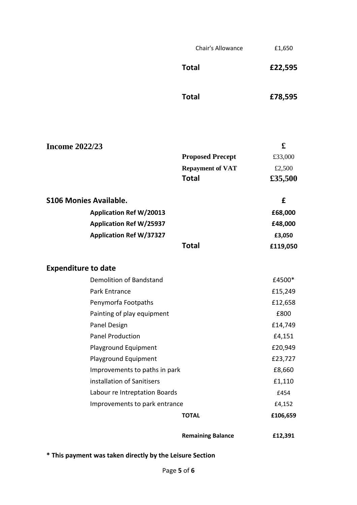Chair's Allowance **E1,650** 

**Total £22,595**

**Total £78,595**

| <b>Income 2022/23</b>         |                                |                          | £        |
|-------------------------------|--------------------------------|--------------------------|----------|
|                               |                                | <b>Proposed Precept</b>  | £33,000  |
|                               |                                | <b>Repayment of VAT</b>  | £2,500   |
|                               |                                | <b>Total</b>             | £35,500  |
| <b>S106 Monies Available.</b> |                                |                          | £        |
|                               | <b>Application Ref W/20013</b> |                          | £68,000  |
|                               | <b>Application Ref W/25937</b> |                          | £48,000  |
|                               | <b>Application Ref W/37327</b> |                          | £3,050   |
|                               |                                | <b>Total</b>             | £119,050 |
| <b>Expenditure to date</b>    |                                |                          |          |
|                               | Demolition of Bandstand        |                          | £4500*   |
|                               | Park Entrance                  |                          | £15,249  |
|                               | Penymorfa Footpaths            |                          | £12,658  |
|                               | Painting of play equipment     |                          | £800     |
|                               | Panel Design                   |                          | £14,749  |
|                               | <b>Panel Production</b>        |                          | £4,151   |
|                               | Playground Equipment           |                          | £20,949  |
|                               | Playground Equipment           |                          | £23,727  |
|                               | Improvements to paths in park  |                          | £8,660   |
|                               | installation of Sanitisers     |                          | £1,110   |
|                               | Labour re Intreptation Boards  |                          | £454     |
|                               | Improvements to park entrance  |                          | £4,152   |
|                               |                                | <b>TOTAL</b>             | £106,659 |
|                               |                                | <b>Remaining Balance</b> | £12,391  |

**\* This payment was taken directly by the Leisure Section**